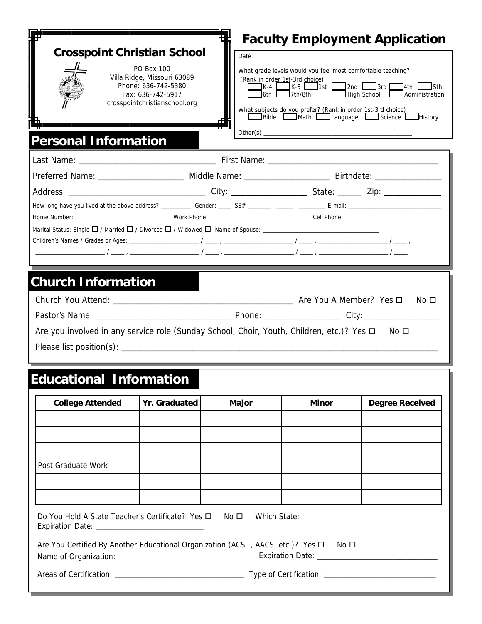| <b>Crosspoint Christian School</b><br><b>Personal Information</b>                                                                      | <b>PO Box 100</b><br>Villa Ridge, Missouri 63089<br>Phone: 636-742-5380<br>Fax: 636-742-5917<br>crosspointchristianschool.org | IK-4 L       | What grade levels would you feel most comfortable teaching?<br>(Rank in order 1st-3rd choice)<br>$J$ 6th $\Box$ 7th/8th<br>What subjects do you prefer? (Rank in order 1st-3rd choice)<br>Bible Math Language Science History | <b>Faculty Employment Application</b><br>$R = 5$ The Task of the State of the State of the State of the State of the State of the State of the State of the State of the State of the State of the State of the State of the State of the State of the State of the Sta |
|----------------------------------------------------------------------------------------------------------------------------------------|-------------------------------------------------------------------------------------------------------------------------------|--------------|-------------------------------------------------------------------------------------------------------------------------------------------------------------------------------------------------------------------------------|-------------------------------------------------------------------------------------------------------------------------------------------------------------------------------------------------------------------------------------------------------------------------|
|                                                                                                                                        |                                                                                                                               |              |                                                                                                                                                                                                                               |                                                                                                                                                                                                                                                                         |
| Preferred Name: ________________________ Middle Name: __________________________ Birthdate: _________________                          |                                                                                                                               |              |                                                                                                                                                                                                                               |                                                                                                                                                                                                                                                                         |
|                                                                                                                                        |                                                                                                                               |              |                                                                                                                                                                                                                               |                                                                                                                                                                                                                                                                         |
|                                                                                                                                        |                                                                                                                               |              |                                                                                                                                                                                                                               |                                                                                                                                                                                                                                                                         |
|                                                                                                                                        |                                                                                                                               |              |                                                                                                                                                                                                                               |                                                                                                                                                                                                                                                                         |
|                                                                                                                                        |                                                                                                                               |              |                                                                                                                                                                                                                               |                                                                                                                                                                                                                                                                         |
|                                                                                                                                        |                                                                                                                               |              |                                                                                                                                                                                                                               |                                                                                                                                                                                                                                                                         |
| <b>Church Information</b><br>No □<br>Are you involved in any service role (Sunday School, Choir, Youth, Children, etc.)? Yes □<br>No □ |                                                                                                                               |              |                                                                                                                                                                                                                               |                                                                                                                                                                                                                                                                         |
|                                                                                                                                        |                                                                                                                               |              |                                                                                                                                                                                                                               |                                                                                                                                                                                                                                                                         |
| <b>Educational Information</b>                                                                                                         |                                                                                                                               |              |                                                                                                                                                                                                                               |                                                                                                                                                                                                                                                                         |
| <b>College Attended</b>                                                                                                                | Yr. Graduated                                                                                                                 | <b>Major</b> | <b>Minor</b>                                                                                                                                                                                                                  | <b>Degree Received</b>                                                                                                                                                                                                                                                  |
|                                                                                                                                        |                                                                                                                               |              |                                                                                                                                                                                                                               |                                                                                                                                                                                                                                                                         |
|                                                                                                                                        |                                                                                                                               |              |                                                                                                                                                                                                                               |                                                                                                                                                                                                                                                                         |
| Post Graduate Work                                                                                                                     |                                                                                                                               |              |                                                                                                                                                                                                                               |                                                                                                                                                                                                                                                                         |

| Do You Hold A State Teacher's Certificate? Yes $\square$ No $\square$ Which State: |  |  |
|------------------------------------------------------------------------------------|--|--|
| <b>Expiration Date:</b>                                                            |  |  |
|                                                                                    |  |  |

and the control of the control of the control of the control of the control of the control of the control of the

| Are You Certified By Another Educational Organization (ACSI, AACS, etc.)? Yes □ No □ |                         |  |
|--------------------------------------------------------------------------------------|-------------------------|--|
| Name of Organization:                                                                | <b>Expiration Date:</b> |  |

Areas of Certification: \_\_\_\_\_\_\_\_\_\_\_\_\_\_\_\_\_\_\_\_\_\_\_\_\_\_\_\_\_\_ Type of Certification: \_\_\_\_\_\_\_\_\_\_\_\_\_\_\_\_\_\_\_\_\_\_\_\_\_\_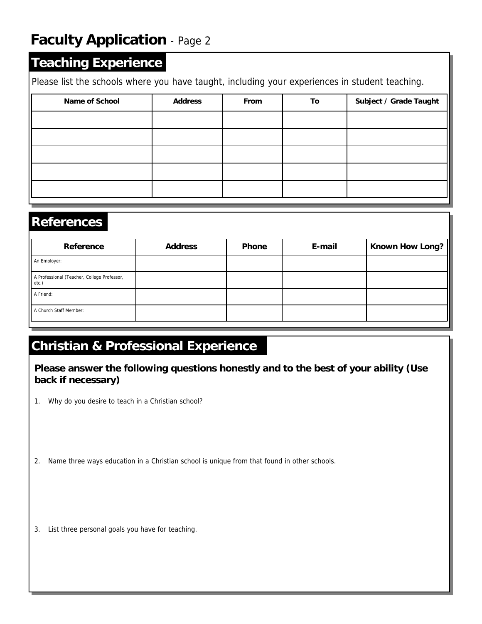### **Teaching Experience**

Please list the schools where you have taught, including your experiences in student teaching.

| Name of School | <b>Address</b> | From | To | Subject / Grade Taught |
|----------------|----------------|------|----|------------------------|
|                |                |      |    |                        |
|                |                |      |    |                        |
|                |                |      |    |                        |
|                |                |      |    |                        |
|                |                |      |    |                        |

#### **References**

| Reference                                            | <b>Address</b> | <b>Phone</b> | E-mail | Known How Long? |
|------------------------------------------------------|----------------|--------------|--------|-----------------|
| An Employer:                                         |                |              |        |                 |
| A Professional (Teacher, College Professor,<br>etc.) |                |              |        |                 |
| A Friend:                                            |                |              |        |                 |
| A Church Staff Member:                               |                |              |        |                 |

### **Christian & Professional Experience**

**Please answer the following questions honestly and to the best of your ability (Use back if necessary)** 

- 1. Why do you desire to teach in a Christian school?
- 2. Name three ways education in a Christian school is unique from that found in other schools.
- 3. List three personal goals you have for teaching.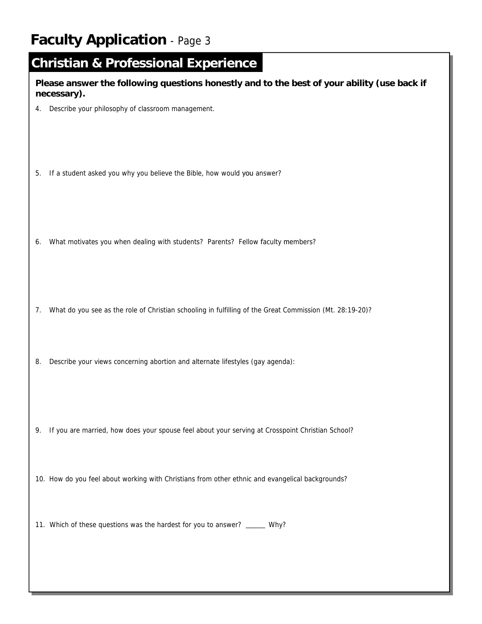|    | <b>Christian &amp; Professional Experience</b><br>Please answer the following questions honestly and to the best of your ability (use back if |
|----|-----------------------------------------------------------------------------------------------------------------------------------------------|
| 4. | necessary).<br>Describe your philosophy of classroom management.                                                                              |
| 5. | If a student asked you why you believe the Bible, how would you answer?                                                                       |
| 6. | What motivates you when dealing with students? Parents? Fellow faculty members?                                                               |
| 7. | What do you see as the role of Christian schooling in fulfilling of the Great Commission (Mt. 28:19-20)?                                      |
| 8. | Describe your views concerning abortion and alternate lifestyles (gay agenda):                                                                |
|    | 9. If you are married, how does your spouse feel about your serving at Crosspoint Christian School?                                           |
|    | 10. How do you feel about working with Christians from other ethnic and evangelical backgrounds?                                              |
|    | 11. Which of these questions was the hardest for you to answer? ______ Why?                                                                   |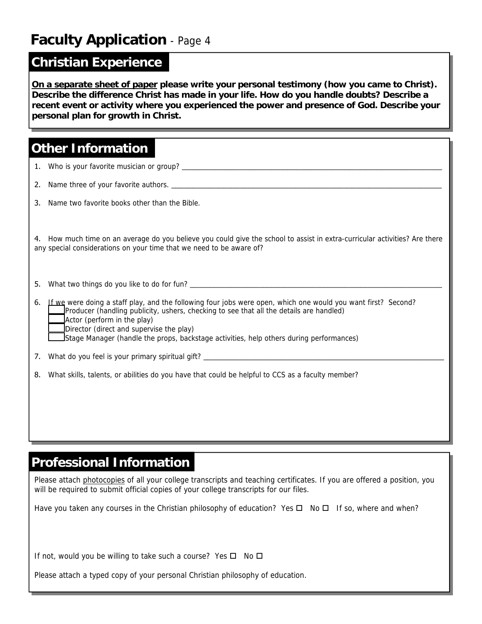#### **Christian Experience**

**On a separate sheet of paper please write your personal testimony (how you came to Christ). Describe the difference Christ has made in your life. How do you handle doubts? Describe a recent event or activity where you experienced the power and presence of God. Describe your personal plan for growth in Christ.** 

### **Other Information**

| 2. | Name three of your favorite authors.                                                                                                                                                                                                                                                                                                                                                    |
|----|-----------------------------------------------------------------------------------------------------------------------------------------------------------------------------------------------------------------------------------------------------------------------------------------------------------------------------------------------------------------------------------------|
| 3. | Name two favorite books other than the Bible.                                                                                                                                                                                                                                                                                                                                           |
|    | 4. How much time on an average do you believe you could give the school to assist in extra-curricular activities? Are there<br>any special considerations on your time that we need to be aware of?                                                                                                                                                                                     |
| 5. |                                                                                                                                                                                                                                                                                                                                                                                         |
| 6. | If we were doing a staff play, and the following four jobs were open, which one would you want first? Second?<br>Producer (handling publicity, ushers, checking to see that all the details are handled)<br>$\Delta$ Actor (perform in the play)<br>Director (direct and supervise the play)<br>Stage Manager (handle the props, backstage activities, help others during performances) |
|    |                                                                                                                                                                                                                                                                                                                                                                                         |
|    | 8. What skills, talents, or abilities do you have that could be helpful to CCS as a faculty member?                                                                                                                                                                                                                                                                                     |
|    |                                                                                                                                                                                                                                                                                                                                                                                         |

### **Professional Information**

Please attach photocopies of all your college transcripts and teaching certificates. If you are offered a position, you will be required to submit official copies of your college transcripts for our files.

Have you taken any courses in the Christian philosophy of education? Yes  $\Box$  No  $\Box$  If so, where and when?

If not, would you be willing to take such a course? Yes  $\Box$  No  $\Box$ 

Please attach a typed copy of your personal Christian philosophy of education.